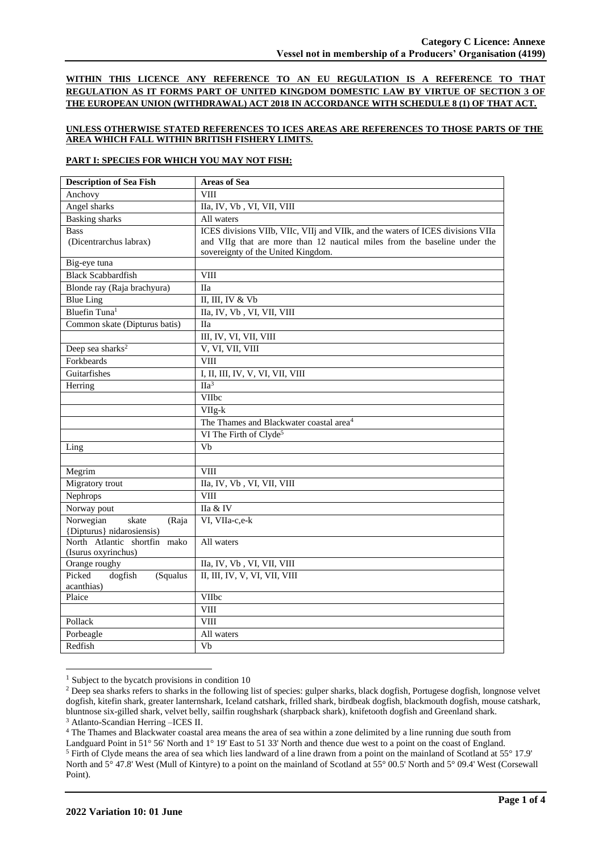**WITHIN THIS LICENCE ANY REFERENCE TO AN EU REGULATION IS A REFERENCE TO THAT REGULATION AS IT FORMS PART OF UNITED KINGDOM DOMESTIC LAW BY VIRTUE OF SECTION 3 OF THE EUROPEAN UNION (WITHDRAWAL) ACT 2018 IN ACCORDANCE WITH SCHEDULE 8 (1) OF THAT ACT.**

## **UNLESS OTHERWISE STATED REFERENCES TO ICES AREAS ARE REFERENCES TO THOSE PARTS OF THE AREA WHICH FALL WITHIN BRITISH FISHERY LIMITS.**

## **PART I: SPECIES FOR WHICH YOU MAY NOT FISH:**

| <b>Description of Sea Fish</b> | <b>Areas of Sea</b>                                                             |
|--------------------------------|---------------------------------------------------------------------------------|
| Anchovy                        | <b>VIII</b>                                                                     |
| Angel sharks                   | IIa, IV, Vb, VI, VII, VIII                                                      |
| <b>Basking</b> sharks          | All waters                                                                      |
| <b>Bass</b>                    | ICES divisions VIIb, VIIc, VIIj and VIIk, and the waters of ICES divisions VIIa |
| (Dicentrarchus labrax)         | and VIIg that are more than 12 nautical miles from the baseline under the       |
|                                | sovereignty of the United Kingdom.                                              |
| Big-eye tuna                   |                                                                                 |
| <b>Black Scabbardfish</b>      | <b>VIII</b>                                                                     |
| Blonde ray (Raja brachyura)    | <b>IIa</b>                                                                      |
| <b>Blue Ling</b>               | II, III, IV & Vb                                                                |
| Bluefin Tuna <sup>1</sup>      | IIa, IV, Vb, VI, VII, VIII                                                      |
| Common skate (Dipturus batis)  | <b>IIa</b>                                                                      |
|                                | III, IV, VI, VII, VIII                                                          |
| Deep sea sharks <sup>2</sup>   | V, VI, VII, VIII                                                                |
| Forkbeards                     | <b>VIII</b>                                                                     |
| Guitarfishes                   | I, II, III, IV, V, VI, VII, VIII                                                |
| Herring                        | $\Pi a^3$                                                                       |
|                                | VIIbc                                                                           |
|                                | VIIg-k                                                                          |
|                                | The Thames and Blackwater coastal area <sup>4</sup>                             |
|                                | VI The Firth of Clyde <sup>5</sup>                                              |
| Ling                           | Vb                                                                              |
|                                |                                                                                 |
| Megrim                         | <b>VIII</b>                                                                     |
| Migratory trout                | IIa, IV, Vb, VI, VII, VIII                                                      |
| Nephrops                       | <b>VIII</b>                                                                     |
| Norway pout                    | IIa & IV                                                                        |
| Norwegian<br>skate<br>(Raja    | VI, VIIa-c,e-k                                                                  |
| {Dipturus} nidarosiensis)      |                                                                                 |
| North Atlantic shortfin mako   | All waters                                                                      |
| (Isurus oxyrinchus)            |                                                                                 |
| Orange roughy                  | IIa, IV, Vb, VI, VII, VIII                                                      |
| Picked<br>dogfish<br>(Squalus  | II, III, IV, V, VI, VII, VIII                                                   |
| acanthias)                     |                                                                                 |
| Plaice                         | VIIbc                                                                           |
|                                | <b>VIII</b>                                                                     |
| Pollack                        | <b>VIII</b>                                                                     |
| Porbeagle                      | All waters                                                                      |
| Redfish                        | Vb                                                                              |

 $1$  Subject to the bycatch provisions in condition 10

<sup>4</sup> The Thames and Blackwater coastal area means the area of sea within a zone delimited by a line running due south from

Landguard Point in 51° 56' North and 1° 19' East to 51 33' North and thence due west to a point on the coast of England.

<sup>&</sup>lt;sup>2</sup> Deep sea sharks refers to sharks in the following list of species: gulper sharks, black dogfish, Portugese dogfish, longnose velvet dogfish, kitefin shark, greater lanternshark, Iceland catshark, frilled shark, birdbeak dogfish, blackmouth dogfish, mouse catshark, bluntnose six-gilled shark, velvet belly, sailfin roughshark (sharpback shark), knifetooth dogfish and Greenland shark. <sup>3</sup> Atlanto-Scandian Herring –ICES II.

<sup>5</sup> Firth of Clyde means the area of sea which lies landward of a line drawn from a point on the mainland of Scotland at 55° 17.9' North and 5° 47.8' West (Mull of Kintyre) to a point on the mainland of Scotland at 55° 00.5' North and 5° 09.4' West (Corsewall Point).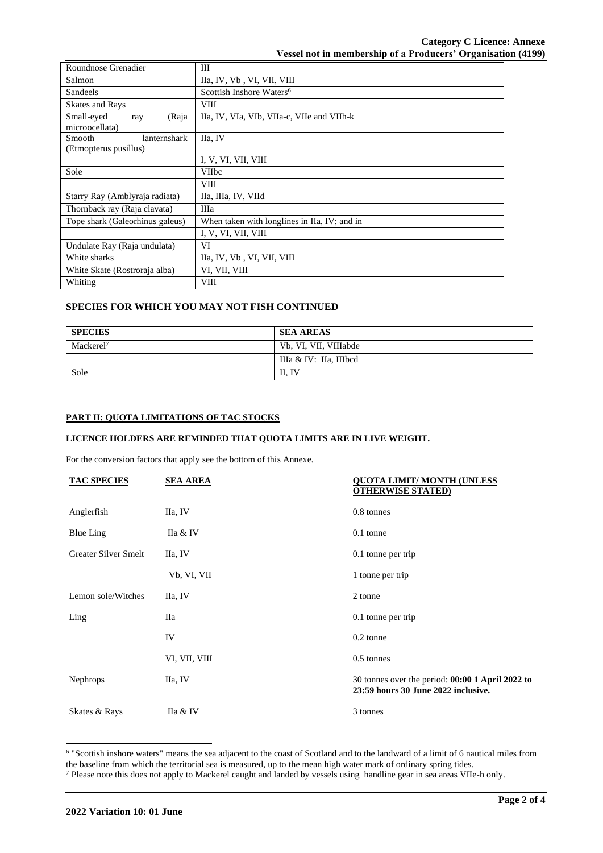| Roundnose Grenadier             | Ш                                            |  |  |
|---------------------------------|----------------------------------------------|--|--|
| Salmon                          | IIa, IV, Vb, VI, VII, VIII                   |  |  |
| Sandeels                        | Scottish Inshore Waters <sup>6</sup>         |  |  |
| <b>Skates and Rays</b>          | <b>VIII</b>                                  |  |  |
| Small-eyed<br>(Raja<br>ray      | IIa, IV, VIa, VIb, VIIa-c, VIIe and VIIh-k   |  |  |
| microocellata)                  |                                              |  |  |
| Smooth<br>lanternshark          | IIa, IV                                      |  |  |
| (Etmopterus pusillus)           |                                              |  |  |
|                                 | I, V, VI, VII, VIII                          |  |  |
| Sole                            | <b>VIIbc</b>                                 |  |  |
|                                 | <b>VIII</b>                                  |  |  |
| Starry Ray (Amblyraja radiata)  | IIa, IIIa, IV, VIId                          |  |  |
| Thornback ray (Raja clavata)    | Шa                                           |  |  |
| Tope shark (Galeorhinus galeus) | When taken with longlines in IIa, IV; and in |  |  |
|                                 | I, V, VI, VII, VIII                          |  |  |
| Undulate Ray (Raja undulata)    | VI                                           |  |  |
| White sharks                    | IIa, IV, Vb, VI, VII, VIII                   |  |  |
| White Skate (Rostroraja alba)   | VI, VII, VIII                                |  |  |
| Whiting                         | <b>VIII</b>                                  |  |  |

# **SPECIES FOR WHICH YOU MAY NOT FISH CONTINUED**

| <b>SPECIES</b>        | <b>SEA AREAS</b>       |
|-----------------------|------------------------|
| Mackerel <sup>7</sup> | Vb, VI, VII, VIIIabde  |
|                       | IIIa & IV: IIa, IIIbcd |
| Sole                  | II, IV                 |

## **PART II: QUOTA LIMITATIONS OF TAC STOCKS**

### **LICENCE HOLDERS ARE REMINDED THAT QUOTA LIMITS ARE IN LIVE WEIGHT.**

For the conversion factors that apply see the bottom of this Annexe.

| <b>TAC SPECIES</b>   | <b>SEA AREA</b> | <b>QUOTA LIMIT/MONTH (UNLESS</b><br><b>OTHERWISE STATED)</b>                             |
|----------------------|-----------------|------------------------------------------------------------------------------------------|
| Anglerfish           | IIa, IV         | 0.8 tonnes                                                                               |
| <b>Blue Ling</b>     | IIa & IV        | 0.1 tonne                                                                                |
| Greater Silver Smelt | IIa, IV         | $0.1$ tonne per trip                                                                     |
|                      | Vb, VI, VII     | 1 tonne per trip                                                                         |
| Lemon sole/Witches   | IIa, IV         | 2 tonne                                                                                  |
| Ling                 | Пa              | $0.1$ tonne per trip                                                                     |
|                      | IV              | $0.2$ tonne                                                                              |
|                      | VI, VII, VIII   | 0.5 tonnes                                                                               |
| Nephrops             | IIa, IV         | 30 tonnes over the period: $00:001$ April 2022 to<br>23:59 hours 30 June 2022 inclusive. |
| Skates & Rays        | IIa & IV        | 3 tonnes                                                                                 |

6 "Scottish inshore waters" means the sea adjacent to the coast of Scotland and to the landward of a limit of 6 nautical miles from the baseline from which the territorial sea is measured, up to the mean high water mark of ordinary spring tides.

<sup>7</sup> Please note this does not apply to Mackerel caught and landed by vessels using handline gear in sea areas VIIe-h only.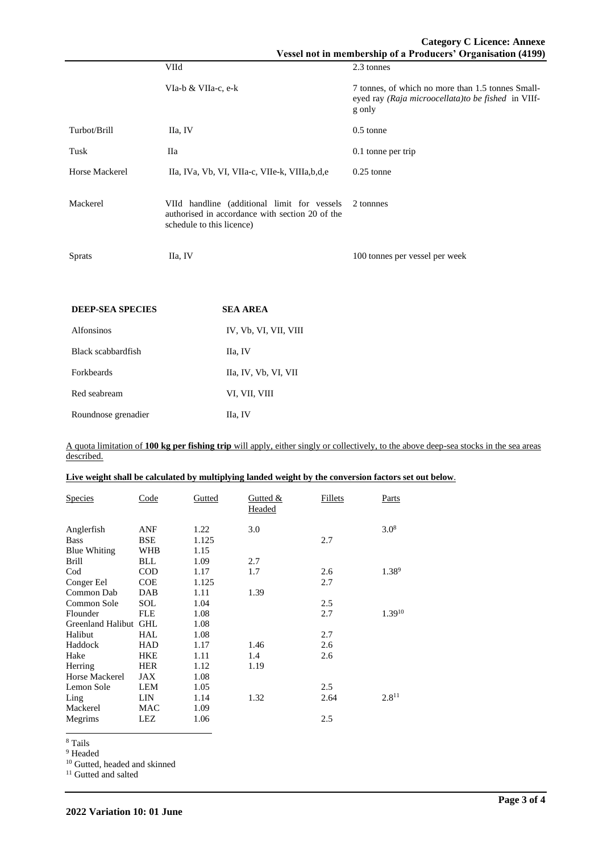|                         | VIId                                                                                                                        | 2.3 tonnes                                                                                                         |
|-------------------------|-----------------------------------------------------------------------------------------------------------------------------|--------------------------------------------------------------------------------------------------------------------|
|                         | VIa-b & VIIa-c, e-k                                                                                                         | 7 tonnes, of which no more than 1.5 tonnes Small-<br>eyed ray (Raja microocellata) to be fished in VIIf-<br>g only |
| Turbot/Brill            | IIa, IV                                                                                                                     | $0.5$ tonne                                                                                                        |
| Tusk                    | Шa                                                                                                                          | $0.1$ tonne per trip                                                                                               |
| Horse Mackerel          | IIa, IVa, Vb, VI, VIIa-c, VIIe-k, VIIIa, b, d, e                                                                            | $0.25$ tonne                                                                                                       |
| Mackerel                | VIId handline (additional limit for vessels<br>authorised in accordance with section 20 of the<br>schedule to this licence) | 2 tonnes                                                                                                           |
| <b>Sprats</b>           | IIa, IV                                                                                                                     | 100 tonnes per vessel per week                                                                                     |
|                         |                                                                                                                             |                                                                                                                    |
| <b>DEEP-SEA SPECIES</b> | <b>SEA AREA</b>                                                                                                             |                                                                                                                    |

| <b>Alfonsinos</b>   | IV, Vb, VI, VII, VIII |
|---------------------|-----------------------|
| Black scabbardfish  | IIa, IV               |
| <b>Forkbeards</b>   | IIa, IV, Vb, VI, VII  |
| Red seabream        | VI, VII, VIII         |
| Roundnose grenadier | IIa, IV               |

A quota limitation of **100 kg per fishing trip** will apply, either singly or collectively, to the above deep-sea stocks in the sea areas described.

| Live weight shall be calculated by multiplying landed weight by the conversion factors set out below. |
|-------------------------------------------------------------------------------------------------------|
|-------------------------------------------------------------------------------------------------------|

| <b>Species</b>               | Code                     | Gutted       | Gutted $&$<br>Headed | Fillets | Parts      |
|------------------------------|--------------------------|--------------|----------------------|---------|------------|
| Anglerfish                   | ANF                      | 1.22         | 3.0                  |         | $3.0^{8}$  |
| <b>Bass</b>                  | <b>BSE</b><br><b>WHB</b> | 1.125        |                      | 2.7     |            |
| <b>Blue Whiting</b><br>Brill | <b>BLL</b>               | 1.15<br>1.09 | 2.7                  |         |            |
|                              |                          |              | 1.7                  |         | $1.38^{9}$ |
| Cod                          | <b>COD</b>               | 1.17         |                      | 2.6     |            |
| Conger Eel                   | <b>COE</b>               | 1.125        |                      | 2.7     |            |
| Common Dab                   | DAB                      | 1.11         | 1.39                 |         |            |
| Common Sole                  | SOL                      | 1.04         |                      | 2.5     |            |
| Flounder                     | <b>FLE</b>               | 1.08         |                      | 2.7     | 1.3910     |
| Greenland Halibut            | <b>GHL</b>               | 1.08         |                      |         |            |
| Halibut                      | HAL                      | 1.08         |                      | 2.7     |            |
| Haddock                      | HAD                      | 1.17         | 1.46                 | 2.6     |            |
| Hake                         | <b>HKE</b>               | 1.11         | 1.4                  | 2.6     |            |
| Herring                      | <b>HER</b>               | 1.12         | 1.19                 |         |            |
| Horse Mackerel               | JAX                      | 1.08         |                      |         |            |
| Lemon Sole                   | LEM                      | 1.05         |                      | 2.5     |            |
| Ling                         | LIN                      | 1.14         | 1.32                 | 2.64    | $2.8^{11}$ |
| Mackerel                     | MAC                      | 1.09         |                      |         |            |
| Megrims                      | LEZ                      | 1.06         |                      | 2.5     |            |

<sup>8</sup> Tails

l,

<sup>9</sup> Headed

<sup>10</sup> Gutted, headed and skinned

<sup>11</sup> Gutted and salted